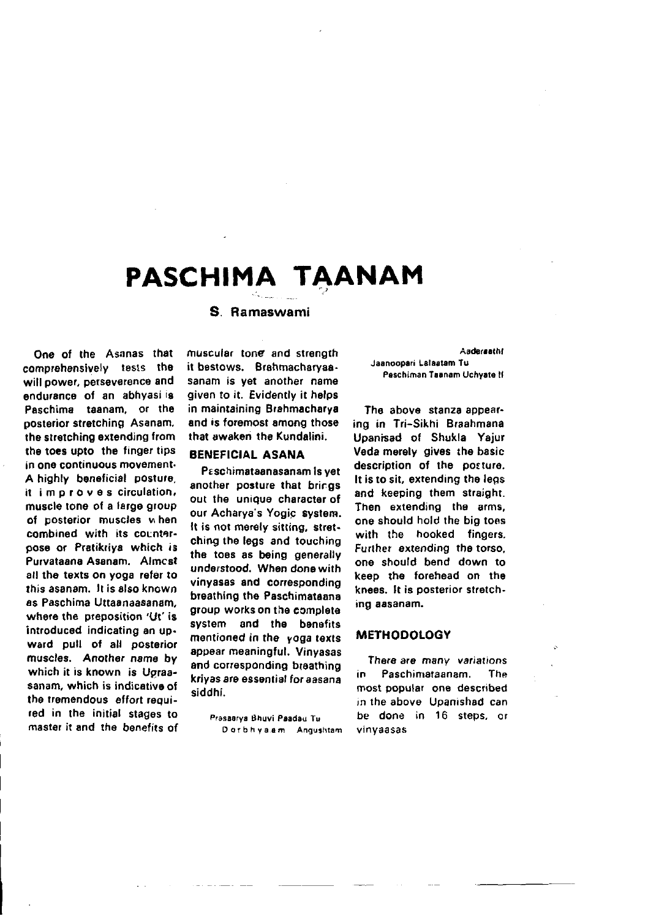# PASCHIMA TAANAM

## S. Ramaswami

One of the Asanas that comprehensively tests the will power, perseverence and endurance of an abhyasilis Paschima taanam, or the posterior stretching Asanam. the stretching extending from the toes upto the finger tips in one continuous movement-A highly beneficial posture. it improves circulation, muscle tone of a large group of posterior muscles when combined with its counteroose or Pratikriva which is Purvataana Asanam, Almcst all the texts on yoga refer to this asanam. It is also known as Paschima Uttaanaasanam. where the preposition 'Ut' is introduced indicating an upward pull of all posterior muscles. Another name by which it is known is Ugraasanam, which is indicative of the tremendous effort required in the initial stages to master it and the benefits of muscular tone and strength it bestows. Brahmacharvaasanam is vet another name aiven to it. Evidently it helps in maintaining Brahmacharva and is foremost among those that awaken the Kundalini.

#### **BENEFICIAL ASANA**

Paschimataanasanam is vet another posture that brings out the unique character of our Acharya's Yogic system. It is not merely sitting, stretching the legs and touching the toes as being generally understood. When done with vinyasas and corresponding breathing the Paschimataana group works on the complete system and the benefits mentioned in the yoga texts appear meaningful. Vinyasas and corresponding breathing krivas are essential for aasana siddhi.

> Prasaarva Bhuvi Paadau Tu Dorbhya.am Angushtam

Aadersathf **Jaanoopari Lalaatam Tu** Paschiman Taanam Uchvate II

The above stanza appearing in Tri-Sikhi Braahmana Upanisad of Shukla Yaiur Veda merely gives the basic description of the posture. It is to sit, extending the leas and keeping them straight. Then extending the arms. one should hold the big toes with the hooked finaers. Further extending the torso. one should bend down to keep the forehead on the knees. It is posterior stretching aasanam.

#### **METHODOLOGY**

There are many variations in Paschimataanam. The most popular one described in the above Upanishad can be done in 16 steps, or vinvaasas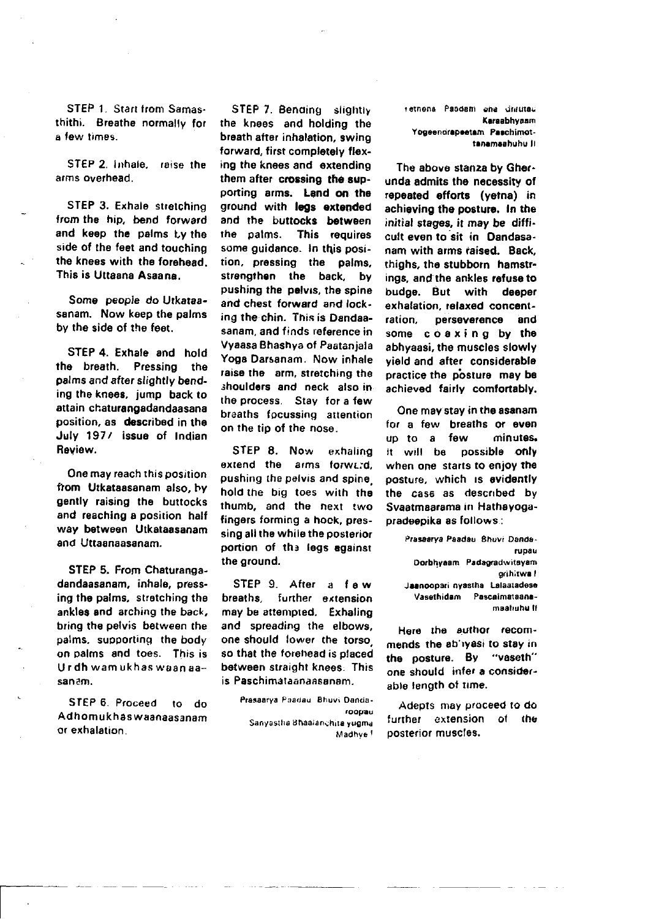STEP 1. Start from Samasthithi. Breathe normally for a few times.

STEP 2. Inhale, raise the arms overhaad.

STEP 3. Exhale stretching from the hip, bend forward and keep the palms tv the side of the feet and touching the knees with the forehead. This is Uttaana Asaana.

Some people do Utkataasanam. Now keep the palms by the side of the feet.

STEP 4. Exhale and hold<br>the breath. Pressing the Pressing the palms and after slightly bending the knees, jump back to attain chaturangadandaasana position, as described in the July 197/ issue of Indian Review.

One may reach this position ftom Utkataasanam also, hy gently raising the burtocks and reaching a position half way between Utkataasanam and Uttaanaasanam.

STEP 5. From Chaturangadandaasanam, inhale, pressing the palms, stratching the ankles and arching the back, bring the pelvis between the palms. suoporting the body on palms and toes. This is U r dh wam uk has waan aasanam.

SIEP 6. Proceed to do Adhomukhaswaanaasanam or exhalation.

r

STEP 7. Bending slightly the knees and holding the breath after inhalation, swing forward, first completely flexing the knees and extending them after crossing the supporting arms. Land on the ground with leas extended and the buttocks between<br>the palms. This requires This requires some quidance. In this position, pressing the palms. strengthen the back, by pushing the palvis, the spine and chest fofward and locking the chin. This is Dandaasanam, and finds reference in Vyaasa Bhashya of Paataniala Yoga Darsanam. Now inhale raise the arm, stretching the shoulders and neck also in the process. Stay for a few braaths focussing attention on the tip of the nose.

STEP 8. Now exhaling extend the arms forward. pushing the pelvis and spine hold the big toes with the thumb, and the next two fingers forming a hook, pressing all the while the posterior portion of the legs egainst the ground.

STEP 9. After a f ew breaths, further extension may be attempted. Exhaling and spreading the elbows, one should, lower, the torso, so that the forehead is placed between straight knees. This is Paschimataanaasanam.

> Prasaarya Paadau Bhuvi Dandaroopau Sanyastha Bhaaianchita yugma Madhve<sup>t</sup>

ratnons Peadam and Juliuter Karaabhyaam Yogeenorapeetam Paschimottanamaahuhu li

The above stanza by Gherunda sdmits ths necessity of repeated offorts (yetna) in achieving the posture. In the initial stages, it may be diffi. cult even to sit in Dandasanam with arms raised. Back. thighs, the stubborn hamstrings, and the ankles refuse to budge. But with deeper exhalation, relaxed concent-<br>ration. perseverence and perseverence and some coaxing by the abhyaasi, the musclos slowly yield and after considersble practice the posture may be achieved fairly comtortably.

One may stay in the asanam for a few breaths or even<br>up to a few minutes. up to a few<br>it will be pe possible only when one starts to enjoy the posture, which is evidently the case as described by Svaatmaarama in Hathavogapradeepika as follows:

> Prasaarya Paadau Shuvi Dondaluplu Dorbhyaam Padagradwitayam grihitwa I Jaanoopari nyastha Lalaatadese Vasethidam Pascaimataanamaahuhu li

Here the author recommends the ab'ivasi to stay in tho poslure. BY "va8eth" one should infer a considerable length of time.

Adepts may proceed to do further extension of the posterior muscles.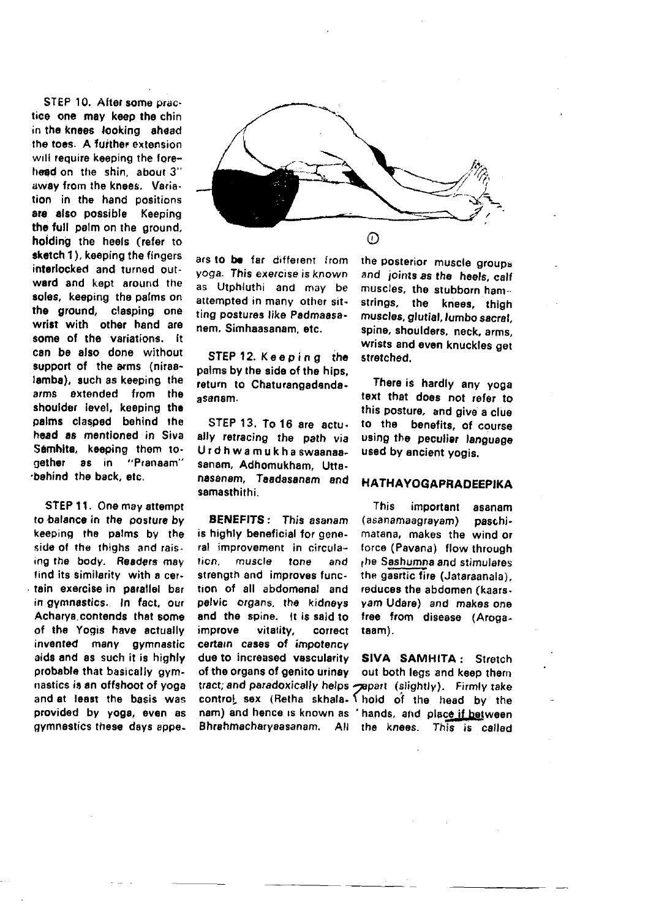STEP 10. After some practice one may keep the chin in the knees looking ahead the toes. A further extension will require keeping the forehead on the shin, about 3' away from the knees. Variation in the hand positions are also possible Keeping the full pelm on the around. holding the heels (refer to sketch 1), keeping the fingers interlocked and turned outward and kept around the soles, keeping the palms on the ground. clasping one wrist with other hand are some of the variations. It can be also done without support of the arms (niraalamba), such as keeping the arms extended from the shoulder level, keeping the palms clasped behind the head as mentioned in Siva Samhita, keeping them tonether as in "Pranaam" bahind the back, etc.

STEP 11. One may attempt to balance in the posture by keeping the palms by the side of the thighs and raising the body. Readers may find its similarity with a certain exercise in parallel bar in gymnastics. In fact, our Acharva contends that some of the Yogis have actually invented many gymnastic aids and as such it is highly probable that basically gymnastics is an offshoot of voga and at least the basis was provided by yoga, even as gymnastics these days appe-



ars to be far different from voga. This exercise is known as Utphluthi and may be attempted in many other sitting postures like Padmaasanem. Simhaasanam. etc.

STEP 12. Keeping the palms by the side of the hips. return to Chaturangadandaasanam.

STEP 13. To 16 are actually retracing the path via Urdhwamukha swaanaasanam, Adhomukham. Uttanasanam, Taadasanam and samasthithi

**BENEFITS:** This asanam is highly beneficial for general improvement in circulation. muscle tone and strength and improves function of all abdomenal and pelvic organs, the kidneys and the spine. It is said to improve vitatity. correct certain cases of impotency due to increased vascularity of the organs of genito urinav the posterior muscle groups and joints as the heels, calf muscles, the stubborn hamstrings, the knees, thigh muscles, glutial, lumbo sacral, spine, shoulders, neck, arms. wrists and even knuckles get stretched.

There is hardly any yoga text that does not refer to this posture, and give a clue to the benefits, of course using the peculiar language used by ancient yogis.

#### **HATHAYOGAPRADEEPIKA**

This important asanam (asanamaagravam) paschimatana, makes the wind or force (Pavana) flow through the Sashumna and stimulates the gasrtic fire (Jataraanala). reduces the abdomen (kaarsvam Udare) and makes one free from disease (Arogataam).

SIVA SAMHITA: Stretch out both leas and keep them tract; and paradoxically helps papart (slightly). Firmly take control sex (Retha skhala- \ hold of the head by the nam) and hence is known as 'hands, and place if between Bhrahmacharyaasanam. All the knees. This is called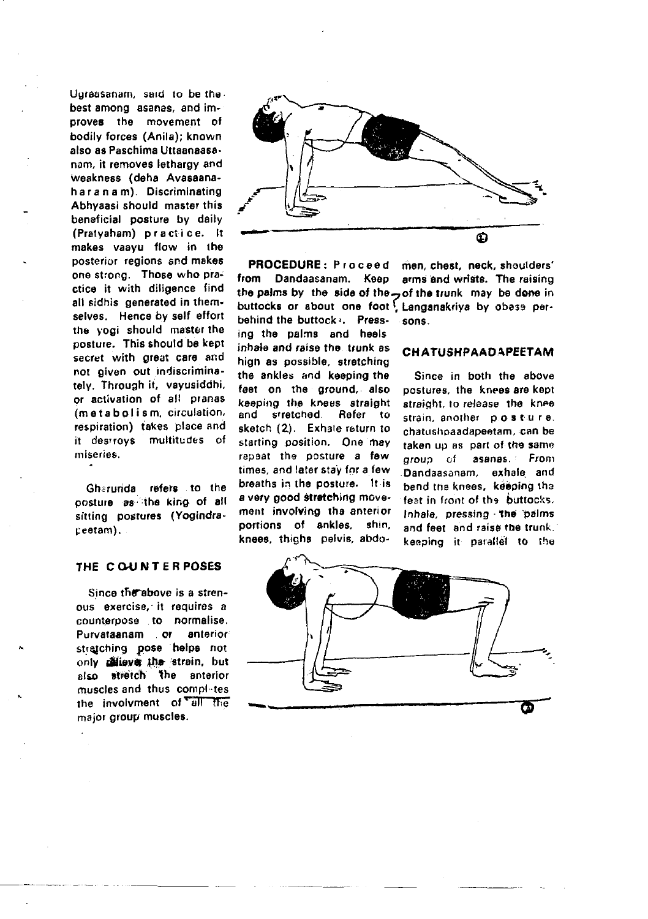Ugraasanam, said to be the best among asanas, and improves the movement of bodily forces (Anila); known also as Paschima Uttaanaasanam, it removes lethargy and weakness (deha Avasaanaharanam). Discriminating Abhyaasi should master this beneficial posture by daily (Pratyaham) practice. It makes vaayu flow in the posterior regions and makes one strong. Those who practice it with diligence find all sidhis generated in themselves. Hence by self effort the yogi should master the posture. This should be kept secret with great care and not given out indiscriminatelv. Through it, vavusiddhi, or activation of all pranas (metabolism, circulation, respiration) takes place and it destroys multitudes of miseries.

Gharunda refers to the posture as the king of all sitting postures (Yogindraceetam).

# THE COUNTERPOSES

Since the above is a strenous exercise, it requires a counterpose to normalise. Purvataanam or anterior stratching pose helps not only reliever the strain, but also stratch the anterior muscles and thus completes the involvment of all the major group muscles.



PROCEDURE: Proceed from Dandaasanam. Keep behind the buttocks. Press-

ing the palms and heels inhale and raise the trunk as high as possible, stratching the ankles and keeping the feet on the ground, also keeping the knees straight and stretched Refer to sketch (2). Exhale return to starting position. One may repeat the posture a few times, and later stay for a few breaths in the posture. It is a very good stretching movement involving the anterior portions of ankles, shin. knees, thighs pelvis, abdo-

men, chest, neck, shoulders' arms and wrists. The raising the palms by the side of the ... of the trunk may be done in buttocks or about one foot Langanakriya by obese persons

### **CHATUSHPAADAPEETAM**

Since in both the above postures, the knees are kept straight, to release the knee strain another posture. chatushpaadapeetam, can be taken up as part of the same group of asanas. From Dandaasanam, exhale and bend the knees, keeping the feat in front of the buttocks. Inhale, pressing the palms and feet and raise the trunk. keeping it parallel to the

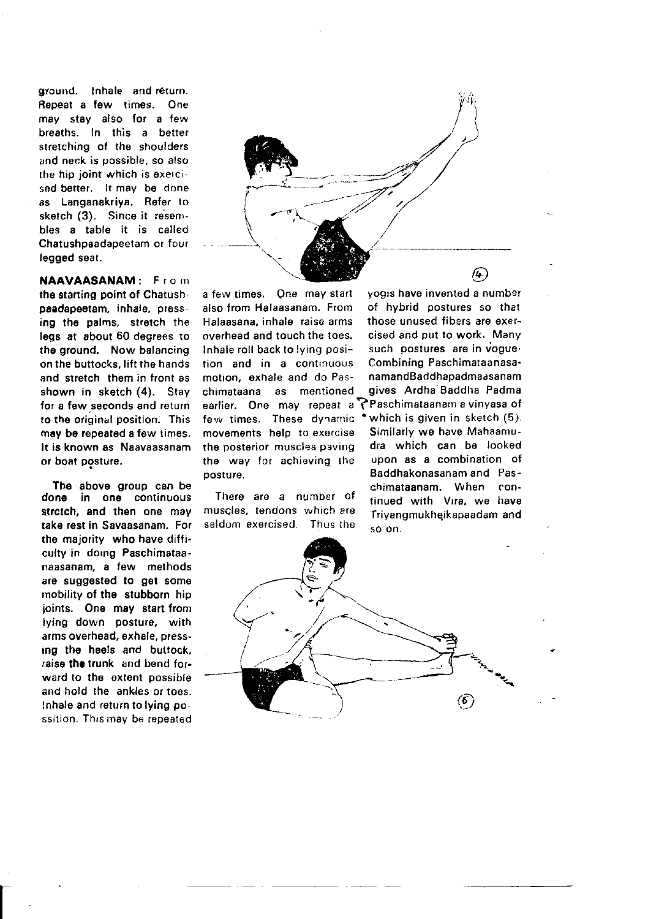gyound. Inhale and réturn. Repeat a few times. One may stay also for a few breaths. In this a better stretching of the shoulders and neck is oossible. so also rhe hip joint which is exercised better. It may be done as Langanaktiya. Refer to sketch (3). Since it resembles a table it is called Chatushpaadapeetam or four legged seat.

NAAVAASANAM: From the starting point of Chatushpaadapeotam, inhale, press ing the palms, stretch the legs at about 60 degrees to the ground, Now balancing on the buttocks, lift the hands and stretch them in front as shown in sketch (4). Stay for a few seconds and return ro the original position. This may be repeated a few times. It is known as Naavaasanam or boat posture.

The above group can be done in one continuous strctch. and then one may take rest in Savaasanam. For the majority who have difficulty in doing Paschimataanaasanam, a few methods are suggested to get some mobility of the stubborn hip joints. One may start from lying down posture, with arms overhead, exhale, pressing the heels and buttock, raise tha trunk and bond forward to the extent possible and hold the ankles or toes. Inhale and return to lying po. ssition. This may be repeated

 $\overline{\phantom{a}}$ 

@

also from Halaasanam, From Halaasana, inhale raise arms those unused fibers are exer-<br>overhead and touch the toes. Cised and put to work. Many overhead and touch the toes.<br>Inhale roll back to lying position and in a continuous Combining Paschimataanasa' motion, exhale and do Pas- namandBaddhapadmaasanam<br>chimataana as mentioned gives Ardha-Baddha Padma chimataana as mentioned gives Ardha Baddha Padma earlier. One may repeat a ?Paschimataanam a vinyasa of<br>few times. These dynamic \*which is given in sketch (5). few times. These dynamic \*which is given in sketch (5).<br>movements help to exercise. Similarly we have Mahaamumovements help to exercise Similarly we have Mahaamu-<br>the posterior muscles naving a drauwhich can be looked the posterior muscles paving dra which can be looked<br>the way for achieving the upon as a combination of the way for achieving the posrure. Baddhakonasanam and Pas-

seldom exercised. Thus the so on.

a few times. One may start yogis have invented a number<br>also from Halaasanam. From of hybrid postures so that such postures are in vogue-<br>Combining Paschimataanasachimataanam. When con-<br>There are a number of tinued with Vira, we have Trivangmukheikapaadam and